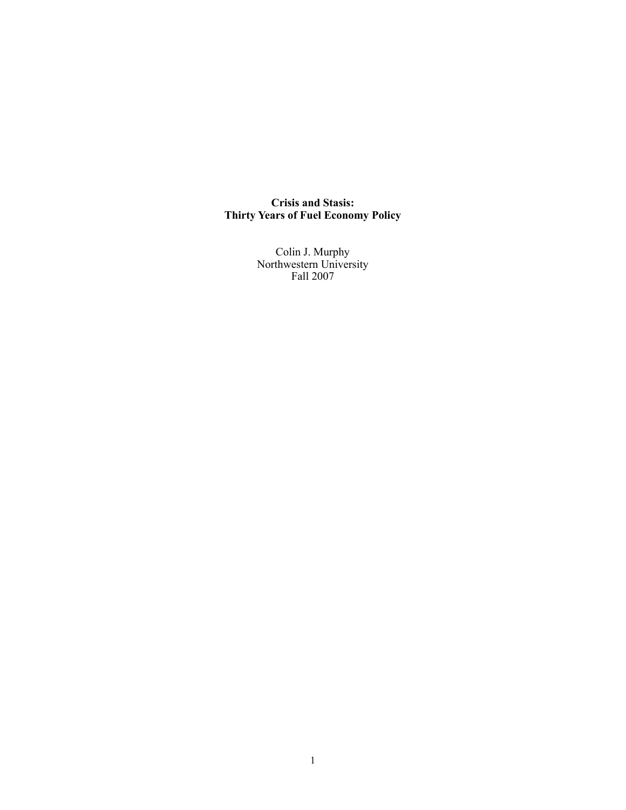**Crisis and Stasis: Thirty Years of Fuel Economy Policy**

> Colin J. Murphy Northwestern University Fall 2007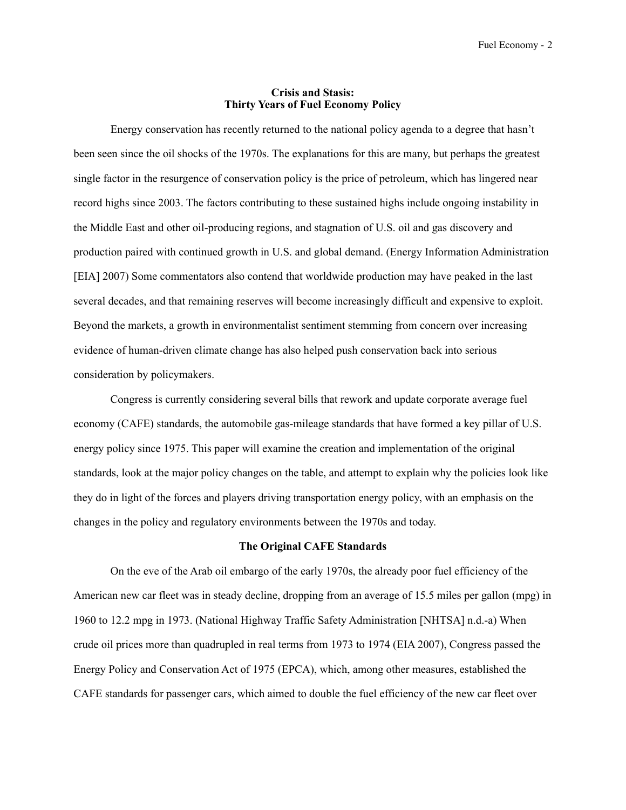## **Crisis and Stasis: Thirty Years of Fuel Economy Policy**

 Energy conservation has recently returned to the national policy agenda to a degree that hasn't been seen since the oil shocks of the 1970s. The explanations for this are many, but perhaps the greatest single factor in the resurgence of conservation policy is the price of petroleum, which has lingered near record highs since 2003. The factors contributing to these sustained highs include ongoing instability in the Middle East and other oil-producing regions, and stagnation of U.S. oil and gas discovery and production paired with continued growth in U.S. and global demand. (Energy Information Administration [EIA] 2007) Some commentators also contend that worldwide production may have peaked in the last several decades, and that remaining reserves will become increasingly difficult and expensive to exploit. Beyond the markets, a growth in environmentalist sentiment stemming from concern over increasing evidence of human-driven climate change has also helped push conservation back into serious consideration by policymakers.

 Congress is currently considering several bills that rework and update corporate average fuel economy (CAFE) standards, the automobile gas-mileage standards that have formed a key pillar of U.S. energy policy since 1975. This paper will examine the creation and implementation of the original standards, look at the major policy changes on the table, and attempt to explain why the policies look like they do in light of the forces and players driving transportation energy policy, with an emphasis on the changes in the policy and regulatory environments between the 1970s and today.

# **The Original CAFE Standards**

On the eve of the Arab oil embargo of the early 1970s, the already poor fuel efficiency of the American new car fleet was in steady decline, dropping from an average of 15.5 miles per gallon (mpg) in 1960 to 12.2 mpg in 1973. (National Highway Traffic Safety Administration [NHTSA] n.d.-a) When crude oil prices more than quadrupled in real terms from 1973 to 1974 (EIA 2007), Congress passed the Energy Policy and Conservation Act of 1975 (EPCA), which, among other measures, established the CAFE standards for passenger cars, which aimed to double the fuel efficiency of the new car fleet over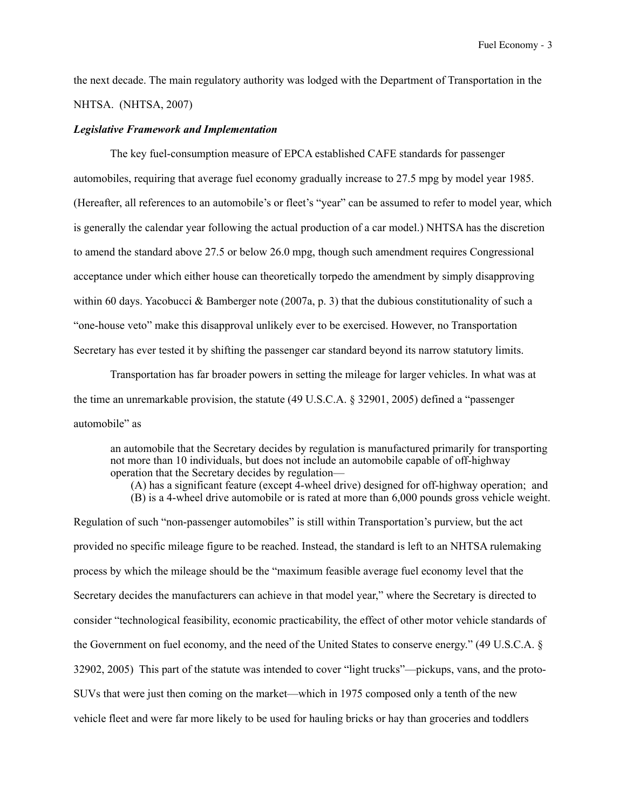the next decade. The main regulatory authority was lodged with the Department of Transportation in the NHTSA. (NHTSA, 2007)

#### *Legislative Framework and Implementation*

 The key fuel-consumption measure of EPCA established CAFE standards for passenger automobiles, requiring that average fuel economy gradually increase to 27.5 mpg by model year 1985. (Hereafter, all references to an automobile's or fleet's "year" can be assumed to refer to model year, which is generally the calendar year following the actual production of a car model.) NHTSA has the discretion to amend the standard above 27.5 or below 26.0 mpg, though such amendment requires Congressional acceptance under which either house can theoretically torpedo the amendment by simply disapproving within 60 days. Yacobucci & Bamberger note (2007a, p. 3) that the dubious constitutionality of such a "one-house veto" make this disapproval unlikely ever to be exercised. However, no Transportation Secretary has ever tested it by shifting the passenger car standard beyond its narrow statutory limits.

 Transportation has far broader powers in setting the mileage for larger vehicles. In what was at the time an unremarkable provision, the statute (49 U.S.C.A. § 32901, 2005) defined a "passenger automobile" as

an automobile that the Secretary decides by regulation is manufactured primarily for transporting not more than 10 individuals, but does not include an automobile capable of off-highway operation that the Secretary decides by regulation—

 (A) has a significant feature (except 4-wheel drive) designed for off-highway operation; and (B) is a 4-wheel drive automobile or is rated at more than 6,000 pounds gross vehicle weight.

Regulation of such "non-passenger automobiles" is still within Transportation's purview, but the act provided no specific mileage figure to be reached. Instead, the standard is left to an NHTSA rulemaking process by which the mileage should be the "maximum feasible average fuel economy level that the Secretary decides the manufacturers can achieve in that model year," where the Secretary is directed to consider "technological feasibility, economic practicability, the effect of other motor vehicle standards of the Government on fuel economy, and the need of the United States to conserve energy." (49 U.S.C.A. § 32902, 2005) This part of the statute was intended to cover "light trucks"—pickups, vans, and the proto-SUVs that were just then coming on the market—which in 1975 composed only a tenth of the new vehicle fleet and were far more likely to be used for hauling bricks or hay than groceries and toddlers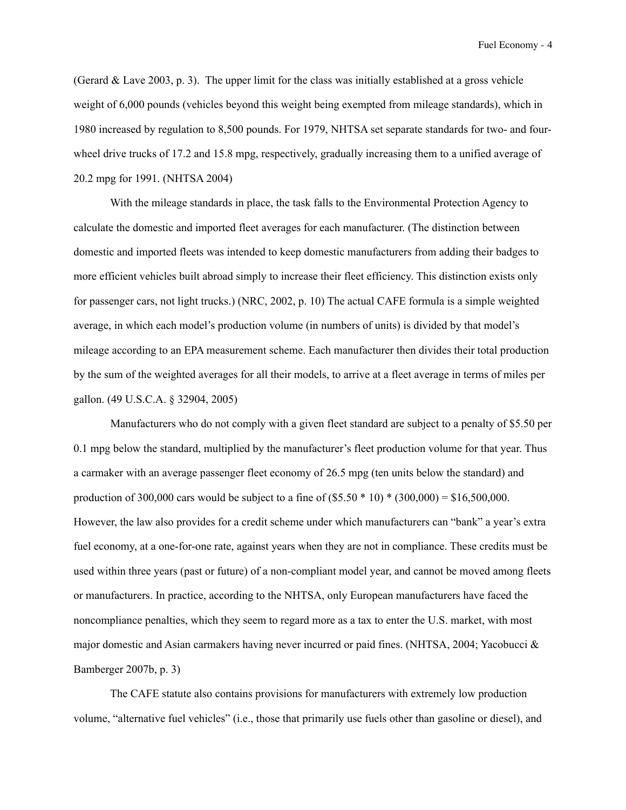(Gerard  $&$  Lave 2003, p. 3). The upper limit for the class was initially established at a gross vehicle weight of 6,000 pounds (vehicles beyond this weight being exempted from mileage standards), which in 1980 increased by regulation to 8,500 pounds. For 1979, NHTSA set separate standards for two- and fourwheel drive trucks of 17.2 and 15.8 mpg, respectively, gradually increasing them to a unified average of 20.2 mpg for 1991. (NHTSA 2004)

 With the mileage standards in place, the task falls to the Environmental Protection Agency to calculate the domestic and imported fleet averages for each manufacturer. (The distinction between domestic and imported fleets was intended to keep domestic manufacturers from adding their badges to more efficient vehicles built abroad simply to increase their fleet efficiency. This distinction exists only for passenger cars, not light trucks.) (NRC, 2002, p. 10) The actual CAFE formula is a simple weighted average, in which each model's production volume (in numbers of units) is divided by that model's mileage according to an EPA measurement scheme. Each manufacturer then divides their total production by the sum of the weighted averages for all their models, to arrive at a fleet average in terms of miles per gallon. (49 U.S.C.A. § 32904, 2005)

 Manufacturers who do not comply with a given fleet standard are subject to a penalty of \$5.50 per 0.1 mpg below the standard, multiplied by the manufacturer's fleet production volume for that year. Thus a carmaker with an average passenger fleet economy of 26.5 mpg (ten units below the standard) and production of 300,000 cars would be subject to a fine of  $(\$5.50 * 10) * (300,000) = \$16,500,000$ . However, the law also provides for a credit scheme under which manufacturers can "bank" a year's extra fuel economy, at a one-for-one rate, against years when they are not in compliance. These credits must be used within three years (past or future) of a non-compliant model year, and cannot be moved among fleets or manufacturers. In practice, according to the NHTSA, only European manufacturers have faced the noncompliance penalties, which they seem to regard more as a tax to enter the U.S. market, with most major domestic and Asian carmakers having never incurred or paid fines. (NHTSA, 2004; Yacobucci & Bamberger 2007b, p. 3)

 The CAFE statute also contains provisions for manufacturers with extremely low production volume, "alternative fuel vehicles" (i.e., those that primarily use fuels other than gasoline or diesel), and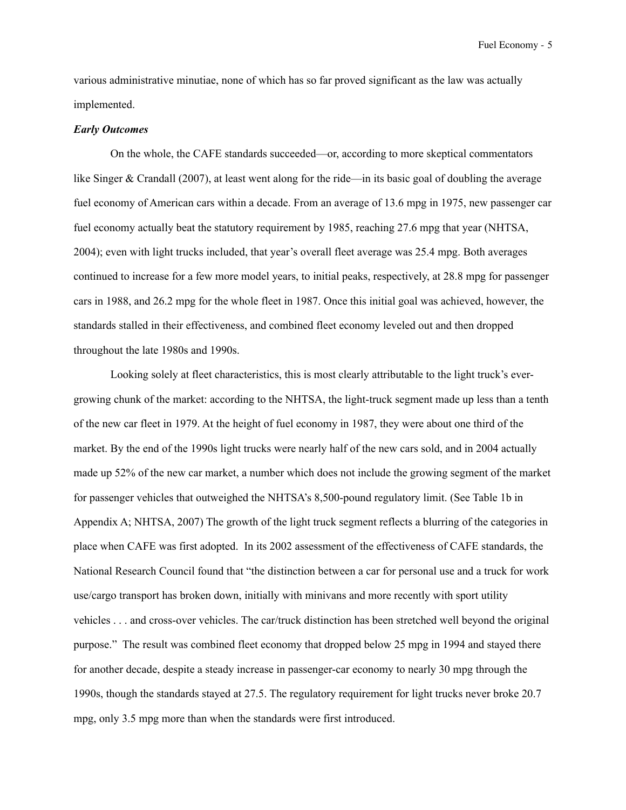various administrative minutiae, none of which has so far proved significant as the law was actually implemented.

#### *Early Outcomes*

 On the whole, the CAFE standards succeeded—or, according to more skeptical commentators like Singer & Crandall (2007), at least went along for the ride—in its basic goal of doubling the average fuel economy of American cars within a decade. From an average of 13.6 mpg in 1975, new passenger car fuel economy actually beat the statutory requirement by 1985, reaching 27.6 mpg that year (NHTSA, 2004); even with light trucks included, that year's overall fleet average was 25.4 mpg. Both averages continued to increase for a few more model years, to initial peaks, respectively, at 28.8 mpg for passenger cars in 1988, and 26.2 mpg for the whole fleet in 1987. Once this initial goal was achieved, however, the standards stalled in their effectiveness, and combined fleet economy leveled out and then dropped throughout the late 1980s and 1990s.

 Looking solely at fleet characteristics, this is most clearly attributable to the light truck's evergrowing chunk of the market: according to the NHTSA, the light-truck segment made up less than a tenth of the new car fleet in 1979. At the height of fuel economy in 1987, they were about one third of the market. By the end of the 1990s light trucks were nearly half of the new cars sold, and in 2004 actually made up 52% of the new car market, a number which does not include the growing segment of the market for passenger vehicles that outweighed the NHTSA's 8,500-pound regulatory limit. (See Table 1b in Appendix A; NHTSA, 2007) The growth of the light truck segment reflects a blurring of the categories in place when CAFE was first adopted. In its 2002 assessment of the effectiveness of CAFE standards, the National Research Council found that "the distinction between a car for personal use and a truck for work use/cargo transport has broken down, initially with minivans and more recently with sport utility vehicles . . . and cross-over vehicles. The car/truck distinction has been stretched well beyond the original purpose." The result was combined fleet economy that dropped below 25 mpg in 1994 and stayed there for another decade, despite a steady increase in passenger-car economy to nearly 30 mpg through the 1990s, though the standards stayed at 27.5. The regulatory requirement for light trucks never broke 20.7 mpg, only 3.5 mpg more than when the standards were first introduced.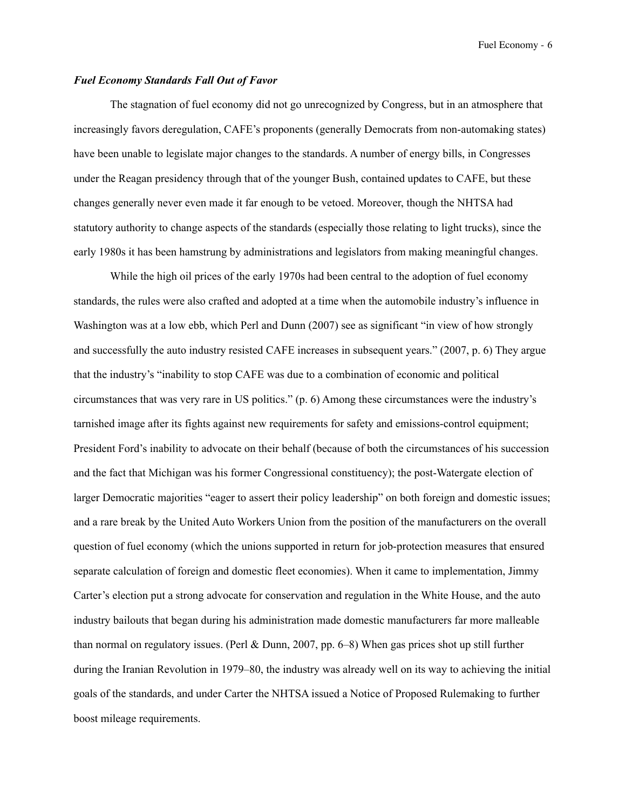## *Fuel Economy Standards Fall Out of Favor*

 The stagnation of fuel economy did not go unrecognized by Congress, but in an atmosphere that increasingly favors deregulation, CAFE's proponents (generally Democrats from non-automaking states) have been unable to legislate major changes to the standards. A number of energy bills, in Congresses under the Reagan presidency through that of the younger Bush, contained updates to CAFE, but these changes generally never even made it far enough to be vetoed. Moreover, though the NHTSA had statutory authority to change aspects of the standards (especially those relating to light trucks), since the early 1980s it has been hamstrung by administrations and legislators from making meaningful changes.

 While the high oil prices of the early 1970s had been central to the adoption of fuel economy standards, the rules were also crafted and adopted at a time when the automobile industry's influence in Washington was at a low ebb, which Perl and Dunn (2007) see as significant "in view of how strongly and successfully the auto industry resisted CAFE increases in subsequent years." (2007, p. 6) They argue that the industry's "inability to stop CAFE was due to a combination of economic and political circumstances that was very rare in US politics." (p. 6) Among these circumstances were the industry's tarnished image after its fights against new requirements for safety and emissions-control equipment; President Ford's inability to advocate on their behalf (because of both the circumstances of his succession and the fact that Michigan was his former Congressional constituency); the post-Watergate election of larger Democratic majorities "eager to assert their policy leadership" on both foreign and domestic issues; and a rare break by the United Auto Workers Union from the position of the manufacturers on the overall question of fuel economy (which the unions supported in return for job-protection measures that ensured separate calculation of foreign and domestic fleet economies). When it came to implementation, Jimmy Carter's election put a strong advocate for conservation and regulation in the White House, and the auto industry bailouts that began during his administration made domestic manufacturers far more malleable than normal on regulatory issues. (Perl & Dunn, 2007, pp. 6–8) When gas prices shot up still further during the Iranian Revolution in 1979–80, the industry was already well on its way to achieving the initial goals of the standards, and under Carter the NHTSA issued a Notice of Proposed Rulemaking to further boost mileage requirements.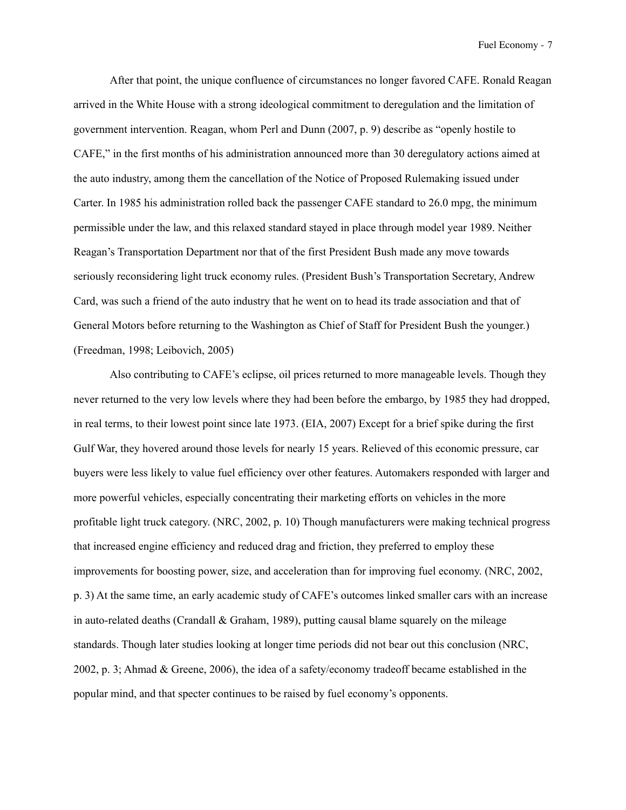After that point, the unique confluence of circumstances no longer favored CAFE. Ronald Reagan arrived in the White House with a strong ideological commitment to deregulation and the limitation of government intervention. Reagan, whom Perl and Dunn (2007, p. 9) describe as "openly hostile to CAFE," in the first months of his administration announced more than 30 deregulatory actions aimed at the auto industry, among them the cancellation of the Notice of Proposed Rulemaking issued under Carter. In 1985 his administration rolled back the passenger CAFE standard to 26.0 mpg, the minimum permissible under the law, and this relaxed standard stayed in place through model year 1989. Neither Reagan's Transportation Department nor that of the first President Bush made any move towards seriously reconsidering light truck economy rules. (President Bush's Transportation Secretary, Andrew Card, was such a friend of the auto industry that he went on to head its trade association and that of General Motors before returning to the Washington as Chief of Staff for President Bush the younger.) (Freedman, 1998; Leibovich, 2005)

 Also contributing to CAFE's eclipse, oil prices returned to more manageable levels. Though they never returned to the very low levels where they had been before the embargo, by 1985 they had dropped, in real terms, to their lowest point since late 1973. (EIA, 2007) Except for a brief spike during the first Gulf War, they hovered around those levels for nearly 15 years. Relieved of this economic pressure, car buyers were less likely to value fuel efficiency over other features. Automakers responded with larger and more powerful vehicles, especially concentrating their marketing efforts on vehicles in the more profitable light truck category. (NRC, 2002, p. 10) Though manufacturers were making technical progress that increased engine efficiency and reduced drag and friction, they preferred to employ these improvements for boosting power, size, and acceleration than for improving fuel economy. (NRC, 2002, p. 3) At the same time, an early academic study of CAFE's outcomes linked smaller cars with an increase in auto-related deaths (Crandall  $&$  Graham, 1989), putting causal blame squarely on the mileage standards. Though later studies looking at longer time periods did not bear out this conclusion (NRC, 2002, p. 3; Ahmad & Greene, 2006), the idea of a safety/economy tradeoff became established in the popular mind, and that specter continues to be raised by fuel economy's opponents.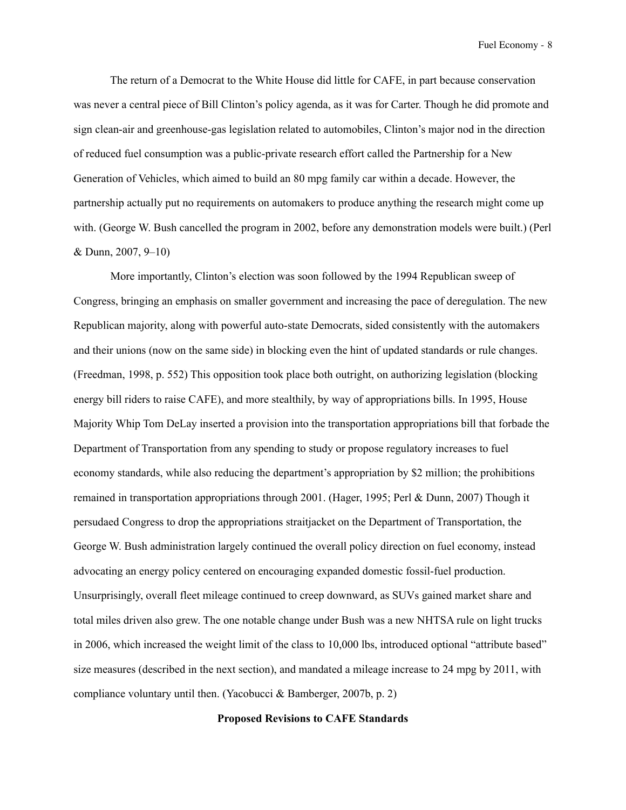The return of a Democrat to the White House did little for CAFE, in part because conservation was never a central piece of Bill Clinton's policy agenda, as it was for Carter. Though he did promote and sign clean-air and greenhouse-gas legislation related to automobiles, Clinton's major nod in the direction of reduced fuel consumption was a public-private research effort called the Partnership for a New Generation of Vehicles, which aimed to build an 80 mpg family car within a decade. However, the partnership actually put no requirements on automakers to produce anything the research might come up with. (George W. Bush cancelled the program in 2002, before any demonstration models were built.) (Perl & Dunn, 2007, 9–10)

 More importantly, Clinton's election was soon followed by the 1994 Republican sweep of Congress, bringing an emphasis on smaller government and increasing the pace of deregulation. The new Republican majority, along with powerful auto-state Democrats, sided consistently with the automakers and their unions (now on the same side) in blocking even the hint of updated standards or rule changes. (Freedman, 1998, p. 552) This opposition took place both outright, on authorizing legislation (blocking energy bill riders to raise CAFE), and more stealthily, by way of appropriations bills. In 1995, House Majority Whip Tom DeLay inserted a provision into the transportation appropriations bill that forbade the Department of Transportation from any spending to study or propose regulatory increases to fuel economy standards, while also reducing the department's appropriation by \$2 million; the prohibitions remained in transportation appropriations through 2001. (Hager, 1995; Perl & Dunn, 2007) Though it persudaed Congress to drop the appropriations straitjacket on the Department of Transportation, the George W. Bush administration largely continued the overall policy direction on fuel economy, instead advocating an energy policy centered on encouraging expanded domestic fossil-fuel production. Unsurprisingly, overall fleet mileage continued to creep downward, as SUVs gained market share and total miles driven also grew. The one notable change under Bush was a new NHTSA rule on light trucks in 2006, which increased the weight limit of the class to 10,000 lbs, introduced optional "attribute based" size measures (described in the next section), and mandated a mileage increase to 24 mpg by 2011, with compliance voluntary until then. (Yacobucci & Bamberger, 2007b, p. 2)

### **Proposed Revisions to CAFE Standards**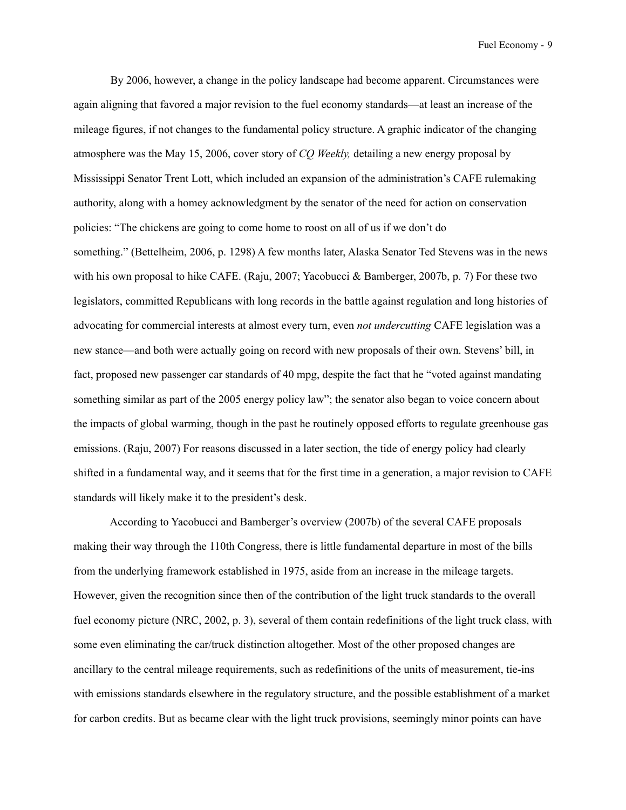By 2006, however, a change in the policy landscape had become apparent. Circumstances were again aligning that favored a major revision to the fuel economy standards—at least an increase of the mileage figures, if not changes to the fundamental policy structure. A graphic indicator of the changing atmosphere was the May 15, 2006, cover story of *CQ Weekly,* detailing a new energy proposal by Mississippi Senator Trent Lott, which included an expansion of the administration's CAFE rulemaking authority, along with a homey acknowledgment by the senator of the need for action on conservation policies: "The chickens are going to come home to roost on all of us if we don't do something." (Bettelheim, 2006, p. 1298) A few months later, Alaska Senator Ted Stevens was in the news with his own proposal to hike CAFE. (Raju, 2007; Yacobucci & Bamberger, 2007b, p. 7) For these two legislators, committed Republicans with long records in the battle against regulation and long histories of advocating for commercial interests at almost every turn, even *not undercutting* CAFE legislation was a new stance—and both were actually going on record with new proposals of their own. Stevens' bill, in fact, proposed new passenger car standards of 40 mpg, despite the fact that he "voted against mandating something similar as part of the 2005 energy policy law"; the senator also began to voice concern about the impacts of global warming, though in the past he routinely opposed efforts to regulate greenhouse gas emissions. (Raju, 2007) For reasons discussed in a later section, the tide of energy policy had clearly shifted in a fundamental way, and it seems that for the first time in a generation, a major revision to CAFE standards will likely make it to the president's desk.

 According to Yacobucci and Bamberger's overview (2007b) of the several CAFE proposals making their way through the 110th Congress, there is little fundamental departure in most of the bills from the underlying framework established in 1975, aside from an increase in the mileage targets. However, given the recognition since then of the contribution of the light truck standards to the overall fuel economy picture (NRC, 2002, p. 3), several of them contain redefinitions of the light truck class, with some even eliminating the car/truck distinction altogether. Most of the other proposed changes are ancillary to the central mileage requirements, such as redefinitions of the units of measurement, tie-ins with emissions standards elsewhere in the regulatory structure, and the possible establishment of a market for carbon credits. But as became clear with the light truck provisions, seemingly minor points can have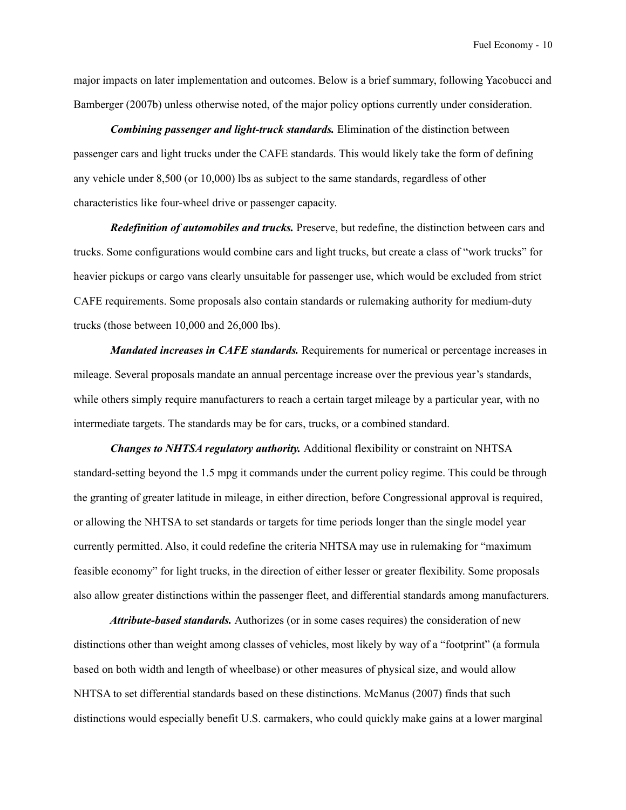major impacts on later implementation and outcomes. Below is a brief summary, following Yacobucci and Bamberger (2007b) unless otherwise noted, of the major policy options currently under consideration.

 *Combining passenger and light-truck standards.* Elimination of the distinction between passenger cars and light trucks under the CAFE standards. This would likely take the form of defining any vehicle under 8,500 (or 10,000) lbs as subject to the same standards, regardless of other characteristics like four-wheel drive or passenger capacity.

 *Redefinition of automobiles and trucks.* Preserve, but redefine, the distinction between cars and trucks. Some configurations would combine cars and light trucks, but create a class of "work trucks" for heavier pickups or cargo vans clearly unsuitable for passenger use, which would be excluded from strict CAFE requirements. Some proposals also contain standards or rulemaking authority for medium-duty trucks (those between 10,000 and 26,000 lbs).

*Mandated increases in CAFE standards.* Requirements for numerical or percentage increases in mileage. Several proposals mandate an annual percentage increase over the previous year's standards, while others simply require manufacturers to reach a certain target mileage by a particular year, with no intermediate targets. The standards may be for cars, trucks, or a combined standard.

*Changes to NHTSA regulatory authority.* Additional flexibility or constraint on NHTSA standard-setting beyond the 1.5 mpg it commands under the current policy regime. This could be through the granting of greater latitude in mileage, in either direction, before Congressional approval is required, or allowing the NHTSA to set standards or targets for time periods longer than the single model year currently permitted. Also, it could redefine the criteria NHTSA may use in rulemaking for "maximum feasible economy" for light trucks, in the direction of either lesser or greater flexibility. Some proposals also allow greater distinctions within the passenger fleet, and differential standards among manufacturers.

 *Attribute-based standards.* Authorizes (or in some cases requires) the consideration of new distinctions other than weight among classes of vehicles, most likely by way of a "footprint" (a formula based on both width and length of wheelbase) or other measures of physical size, and would allow NHTSA to set differential standards based on these distinctions. McManus (2007) finds that such distinctions would especially benefit U.S. carmakers, who could quickly make gains at a lower marginal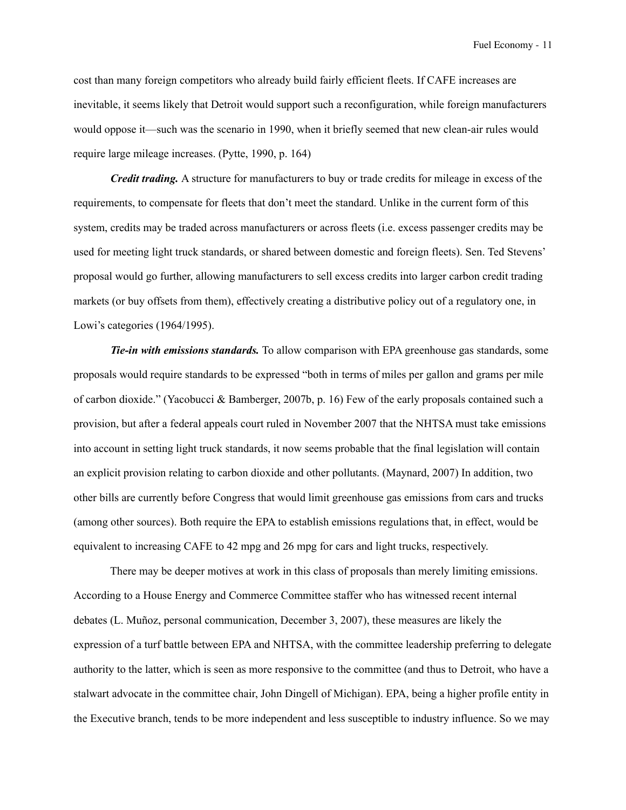cost than many foreign competitors who already build fairly efficient fleets. If CAFE increases are inevitable, it seems likely that Detroit would support such a reconfiguration, while foreign manufacturers would oppose it—such was the scenario in 1990, when it briefly seemed that new clean-air rules would require large mileage increases. (Pytte, 1990, p. 164)

 *Credit trading.* A structure for manufacturers to buy or trade credits for mileage in excess of the requirements, to compensate for fleets that don't meet the standard. Unlike in the current form of this system, credits may be traded across manufacturers or across fleets (i.e. excess passenger credits may be used for meeting light truck standards, or shared between domestic and foreign fleets). Sen. Ted Stevens' proposal would go further, allowing manufacturers to sell excess credits into larger carbon credit trading markets (or buy offsets from them), effectively creating a distributive policy out of a regulatory one, in Lowi's categories (1964/1995).

 *Tie-in with emissions standards.* To allow comparison with EPA greenhouse gas standards, some proposals would require standards to be expressed "both in terms of miles per gallon and grams per mile of carbon dioxide." (Yacobucci & Bamberger, 2007b, p. 16) Few of the early proposals contained such a provision, but after a federal appeals court ruled in November 2007 that the NHTSA must take emissions into account in setting light truck standards, it now seems probable that the final legislation will contain an explicit provision relating to carbon dioxide and other pollutants. (Maynard, 2007) In addition, two other bills are currently before Congress that would limit greenhouse gas emissions from cars and trucks (among other sources). Both require the EPA to establish emissions regulations that, in effect, would be equivalent to increasing CAFE to 42 mpg and 26 mpg for cars and light trucks, respectively.

 There may be deeper motives at work in this class of proposals than merely limiting emissions. According to a House Energy and Commerce Committee staffer who has witnessed recent internal debates (L. Muñoz, personal communication, December 3, 2007), these measures are likely the expression of a turf battle between EPA and NHTSA, with the committee leadership preferring to delegate authority to the latter, which is seen as more responsive to the committee (and thus to Detroit, who have a stalwart advocate in the committee chair, John Dingell of Michigan). EPA, being a higher profile entity in the Executive branch, tends to be more independent and less susceptible to industry influence. So we may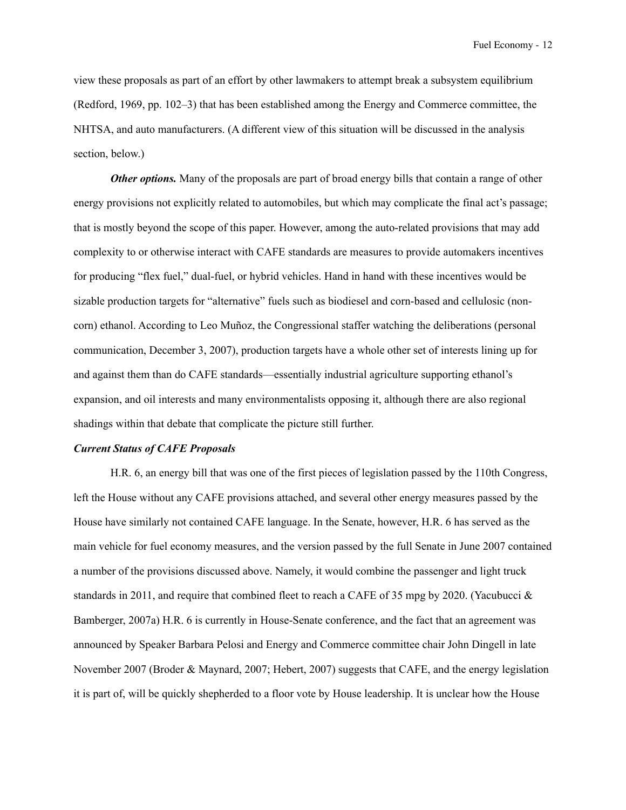view these proposals as part of an effort by other lawmakers to attempt break a subsystem equilibrium (Redford, 1969, pp. 102–3) that has been established among the Energy and Commerce committee, the NHTSA, and auto manufacturers. (A different view of this situation will be discussed in the analysis section, below.)

*Other options.* Many of the proposals are part of broad energy bills that contain a range of other energy provisions not explicitly related to automobiles, but which may complicate the final act's passage; that is mostly beyond the scope of this paper. However, among the auto-related provisions that may add complexity to or otherwise interact with CAFE standards are measures to provide automakers incentives for producing "flex fuel," dual-fuel, or hybrid vehicles. Hand in hand with these incentives would be sizable production targets for "alternative" fuels such as biodiesel and corn-based and cellulosic (noncorn) ethanol. According to Leo Muñoz, the Congressional staffer watching the deliberations (personal communication, December 3, 2007), production targets have a whole other set of interests lining up for and against them than do CAFE standards—essentially industrial agriculture supporting ethanol's expansion, and oil interests and many environmentalists opposing it, although there are also regional shadings within that debate that complicate the picture still further.

#### *Current Status of CAFE Proposals*

 H.R. 6, an energy bill that was one of the first pieces of legislation passed by the 110th Congress, left the House without any CAFE provisions attached, and several other energy measures passed by the House have similarly not contained CAFE language. In the Senate, however, H.R. 6 has served as the main vehicle for fuel economy measures, and the version passed by the full Senate in June 2007 contained a number of the provisions discussed above. Namely, it would combine the passenger and light truck standards in 2011, and require that combined fleet to reach a CAFE of 35 mpg by 2020. (Yacubucci & Bamberger, 2007a) H.R. 6 is currently in House-Senate conference, and the fact that an agreement was announced by Speaker Barbara Pelosi and Energy and Commerce committee chair John Dingell in late November 2007 (Broder & Maynard, 2007; Hebert, 2007) suggests that CAFE, and the energy legislation it is part of, will be quickly shepherded to a floor vote by House leadership. It is unclear how the House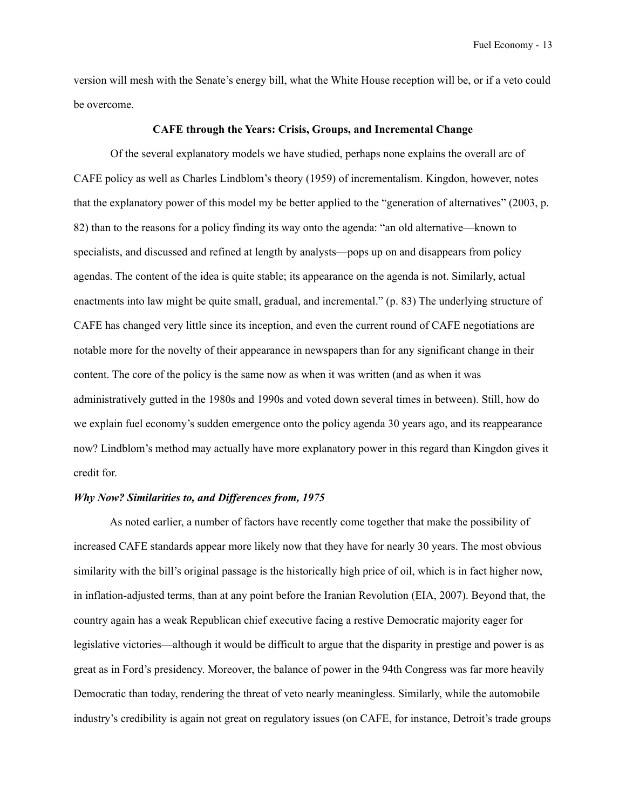version will mesh with the Senate's energy bill, what the White House reception will be, or if a veto could be overcome.

#### **CAFE through the Years: Crisis, Groups, and Incremental Change**

 Of the several explanatory models we have studied, perhaps none explains the overall arc of CAFE policy as well as Charles Lindblom's theory (1959) of incrementalism. Kingdon, however, notes that the explanatory power of this model my be better applied to the "generation of alternatives" (2003, p. 82) than to the reasons for a policy finding its way onto the agenda: "an old alternative—known to specialists, and discussed and refined at length by analysts—pops up on and disappears from policy agendas. The content of the idea is quite stable; its appearance on the agenda is not. Similarly, actual enactments into law might be quite small, gradual, and incremental." (p. 83) The underlying structure of CAFE has changed very little since its inception, and even the current round of CAFE negotiations are notable more for the novelty of their appearance in newspapers than for any significant change in their content. The core of the policy is the same now as when it was written (and as when it was administratively gutted in the 1980s and 1990s and voted down several times in between). Still, how do we explain fuel economy's sudden emergence onto the policy agenda 30 years ago, and its reappearance now? Lindblom's method may actually have more explanatory power in this regard than Kingdon gives it credit for.

## *Why Now? Similarities to, and Differences from, 1975*

 As noted earlier, a number of factors have recently come together that make the possibility of increased CAFE standards appear more likely now that they have for nearly 30 years. The most obvious similarity with the bill's original passage is the historically high price of oil, which is in fact higher now, in inflation-adjusted terms, than at any point before the Iranian Revolution (EIA, 2007). Beyond that, the country again has a weak Republican chief executive facing a restive Democratic majority eager for legislative victories—although it would be difficult to argue that the disparity in prestige and power is as great as in Ford's presidency. Moreover, the balance of power in the 94th Congress was far more heavily Democratic than today, rendering the threat of veto nearly meaningless. Similarly, while the automobile industry's credibility is again not great on regulatory issues (on CAFE, for instance, Detroit's trade groups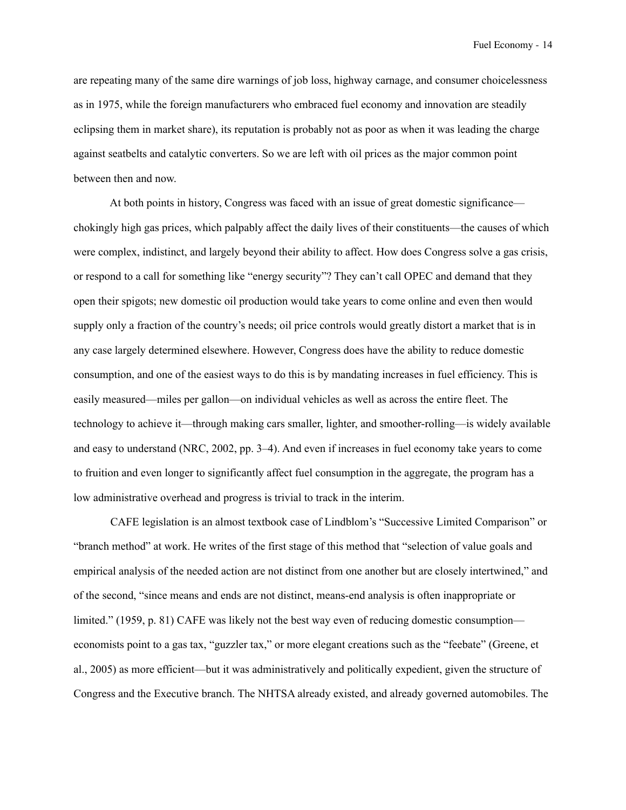are repeating many of the same dire warnings of job loss, highway carnage, and consumer choicelessness as in 1975, while the foreign manufacturers who embraced fuel economy and innovation are steadily eclipsing them in market share), its reputation is probably not as poor as when it was leading the charge against seatbelts and catalytic converters. So we are left with oil prices as the major common point between then and now.

 At both points in history, Congress was faced with an issue of great domestic significance chokingly high gas prices, which palpably affect the daily lives of their constituents—the causes of which were complex, indistinct, and largely beyond their ability to affect. How does Congress solve a gas crisis, or respond to a call for something like "energy security"? They can't call OPEC and demand that they open their spigots; new domestic oil production would take years to come online and even then would supply only a fraction of the country's needs; oil price controls would greatly distort a market that is in any case largely determined elsewhere. However, Congress does have the ability to reduce domestic consumption, and one of the easiest ways to do this is by mandating increases in fuel efficiency. This is easily measured—miles per gallon—on individual vehicles as well as across the entire fleet. The technology to achieve it—through making cars smaller, lighter, and smoother-rolling—is widely available and easy to understand (NRC, 2002, pp. 3–4). And even if increases in fuel economy take years to come to fruition and even longer to significantly affect fuel consumption in the aggregate, the program has a low administrative overhead and progress is trivial to track in the interim.

 CAFE legislation is an almost textbook case of Lindblom's "Successive Limited Comparison" or "branch method" at work. He writes of the first stage of this method that "selection of value goals and empirical analysis of the needed action are not distinct from one another but are closely intertwined," and of the second, "since means and ends are not distinct, means-end analysis is often inappropriate or limited." (1959, p. 81) CAFE was likely not the best way even of reducing domestic consumption economists point to a gas tax, "guzzler tax," or more elegant creations such as the "feebate" (Greene, et al., 2005) as more efficient—but it was administratively and politically expedient, given the structure of Congress and the Executive branch. The NHTSA already existed, and already governed automobiles. The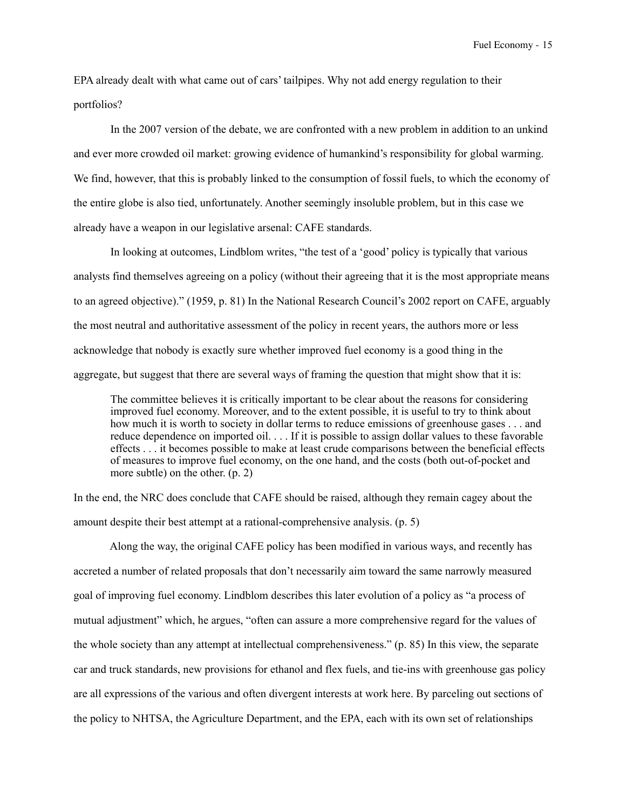EPA already dealt with what came out of cars' tailpipes. Why not add energy regulation to their portfolios?

 In the 2007 version of the debate, we are confronted with a new problem in addition to an unkind and ever more crowded oil market: growing evidence of humankind's responsibility for global warming. We find, however, that this is probably linked to the consumption of fossil fuels, to which the economy of the entire globe is also tied, unfortunately. Another seemingly insoluble problem, but in this case we already have a weapon in our legislative arsenal: CAFE standards.

 In looking at outcomes, Lindblom writes, "the test of a 'good' policy is typically that various analysts find themselves agreeing on a policy (without their agreeing that it is the most appropriate means to an agreed objective)." (1959, p. 81) In the National Research Council's 2002 report on CAFE, arguably the most neutral and authoritative assessment of the policy in recent years, the authors more or less acknowledge that nobody is exactly sure whether improved fuel economy is a good thing in the aggregate, but suggest that there are several ways of framing the question that might show that it is:

The committee believes it is critically important to be clear about the reasons for considering improved fuel economy. Moreover, and to the extent possible, it is useful to try to think about how much it is worth to society in dollar terms to reduce emissions of greenhouse gases ... and reduce dependence on imported oil. . . . If it is possible to assign dollar values to these favorable effects . . . it becomes possible to make at least crude comparisons between the beneficial effects of measures to improve fuel economy, on the one hand, and the costs (both out-of-pocket and more subtle) on the other. (p. 2)

In the end, the NRC does conclude that CAFE should be raised, although they remain cagey about the amount despite their best attempt at a rational-comprehensive analysis. (p. 5)

 Along the way, the original CAFE policy has been modified in various ways, and recently has accreted a number of related proposals that don't necessarily aim toward the same narrowly measured goal of improving fuel economy. Lindblom describes this later evolution of a policy as "a process of mutual adjustment" which, he argues, "often can assure a more comprehensive regard for the values of the whole society than any attempt at intellectual comprehensiveness." (p. 85) In this view, the separate car and truck standards, new provisions for ethanol and flex fuels, and tie-ins with greenhouse gas policy are all expressions of the various and often divergent interests at work here. By parceling out sections of the policy to NHTSA, the Agriculture Department, and the EPA, each with its own set of relationships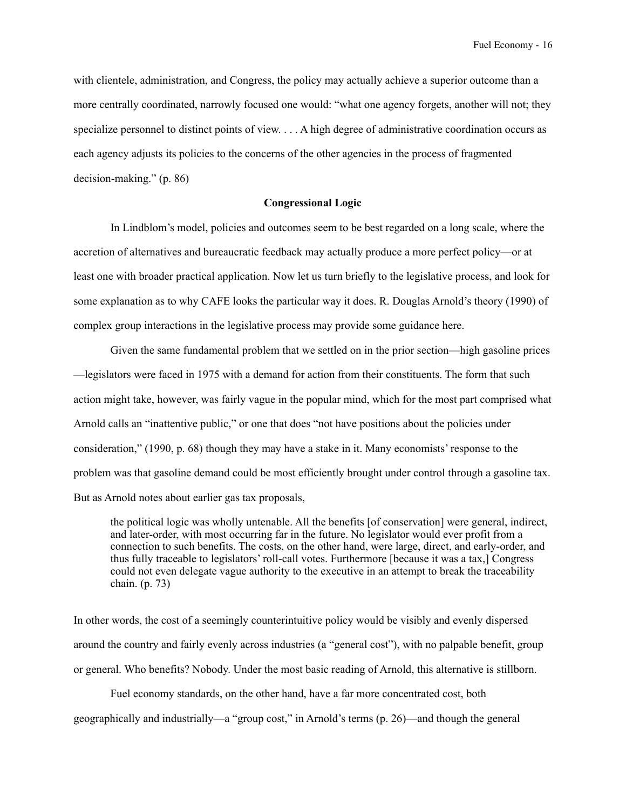with clientele, administration, and Congress, the policy may actually achieve a superior outcome than a more centrally coordinated, narrowly focused one would: "what one agency forgets, another will not; they specialize personnel to distinct points of view. . . . A high degree of administrative coordination occurs as each agency adjusts its policies to the concerns of the other agencies in the process of fragmented decision-making." (p. 86)

# **Congressional Logic**

 In Lindblom's model, policies and outcomes seem to be best regarded on a long scale, where the accretion of alternatives and bureaucratic feedback may actually produce a more perfect policy—or at least one with broader practical application. Now let us turn briefly to the legislative process, and look for some explanation as to why CAFE looks the particular way it does. R. Douglas Arnold's theory (1990) of complex group interactions in the legislative process may provide some guidance here.

 Given the same fundamental problem that we settled on in the prior section—high gasoline prices —legislators were faced in 1975 with a demand for action from their constituents. The form that such action might take, however, was fairly vague in the popular mind, which for the most part comprised what Arnold calls an "inattentive public," or one that does "not have positions about the policies under consideration," (1990, p. 68) though they may have a stake in it. Many economists' response to the problem was that gasoline demand could be most efficiently brought under control through a gasoline tax. But as Arnold notes about earlier gas tax proposals,

the political logic was wholly untenable. All the benefits [of conservation] were general, indirect, and later-order, with most occurring far in the future. No legislator would ever profit from a connection to such benefits. The costs, on the other hand, were large, direct, and early-order, and thus fully traceable to legislators' roll-call votes. Furthermore [because it was a tax,] Congress could not even delegate vague authority to the executive in an attempt to break the traceability chain. (p. 73)

In other words, the cost of a seemingly counterintuitive policy would be visibly and evenly dispersed around the country and fairly evenly across industries (a "general cost"), with no palpable benefit, group or general. Who benefits? Nobody. Under the most basic reading of Arnold, this alternative is stillborn.

 Fuel economy standards, on the other hand, have a far more concentrated cost, both geographically and industrially—a "group cost," in Arnold's terms (p. 26)—and though the general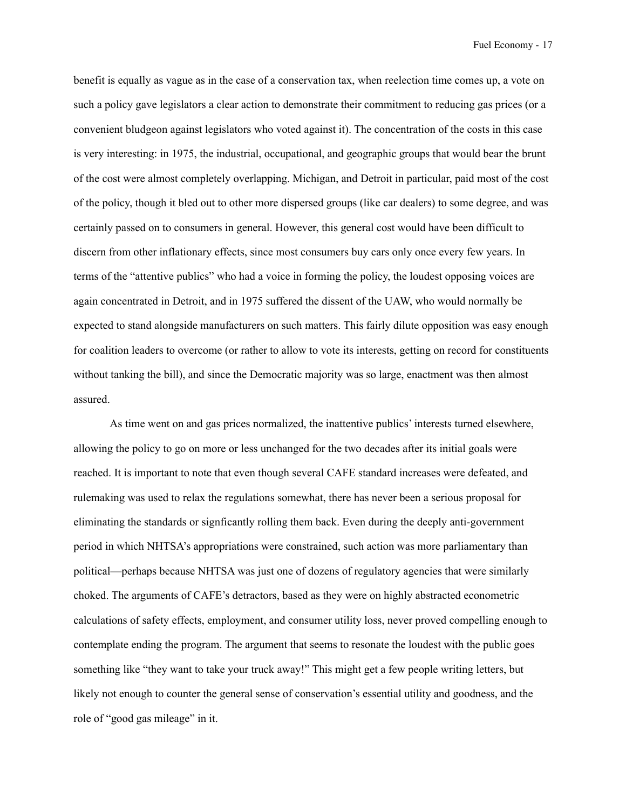benefit is equally as vague as in the case of a conservation tax, when reelection time comes up, a vote on such a policy gave legislators a clear action to demonstrate their commitment to reducing gas prices (or a convenient bludgeon against legislators who voted against it). The concentration of the costs in this case is very interesting: in 1975, the industrial, occupational, and geographic groups that would bear the brunt of the cost were almost completely overlapping. Michigan, and Detroit in particular, paid most of the cost of the policy, though it bled out to other more dispersed groups (like car dealers) to some degree, and was certainly passed on to consumers in general. However, this general cost would have been difficult to discern from other inflationary effects, since most consumers buy cars only once every few years. In terms of the "attentive publics" who had a voice in forming the policy, the loudest opposing voices are again concentrated in Detroit, and in 1975 suffered the dissent of the UAW, who would normally be expected to stand alongside manufacturers on such matters. This fairly dilute opposition was easy enough for coalition leaders to overcome (or rather to allow to vote its interests, getting on record for constituents without tanking the bill), and since the Democratic majority was so large, enactment was then almost assured.

 As time went on and gas prices normalized, the inattentive publics' interests turned elsewhere, allowing the policy to go on more or less unchanged for the two decades after its initial goals were reached. It is important to note that even though several CAFE standard increases were defeated, and rulemaking was used to relax the regulations somewhat, there has never been a serious proposal for eliminating the standards or signficantly rolling them back. Even during the deeply anti-government period in which NHTSA's appropriations were constrained, such action was more parliamentary than political—perhaps because NHTSA was just one of dozens of regulatory agencies that were similarly choked. The arguments of CAFE's detractors, based as they were on highly abstracted econometric calculations of safety effects, employment, and consumer utility loss, never proved compelling enough to contemplate ending the program. The argument that seems to resonate the loudest with the public goes something like "they want to take your truck away!" This might get a few people writing letters, but likely not enough to counter the general sense of conservation's essential utility and goodness, and the role of "good gas mileage" in it.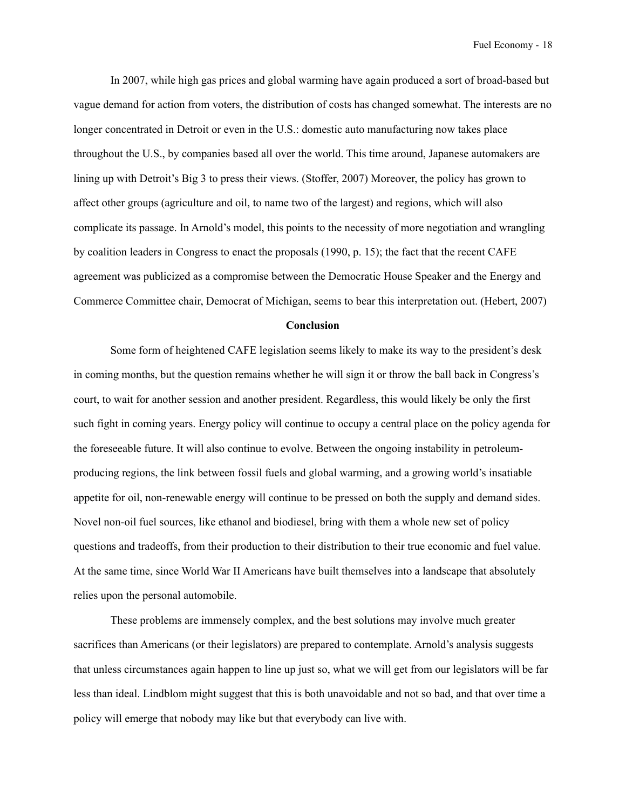In 2007, while high gas prices and global warming have again produced a sort of broad-based but vague demand for action from voters, the distribution of costs has changed somewhat. The interests are no longer concentrated in Detroit or even in the U.S.: domestic auto manufacturing now takes place throughout the U.S., by companies based all over the world. This time around, Japanese automakers are lining up with Detroit's Big 3 to press their views. (Stoffer, 2007) Moreover, the policy has grown to affect other groups (agriculture and oil, to name two of the largest) and regions, which will also complicate its passage. In Arnold's model, this points to the necessity of more negotiation and wrangling by coalition leaders in Congress to enact the proposals (1990, p. 15); the fact that the recent CAFE agreement was publicized as a compromise between the Democratic House Speaker and the Energy and Commerce Committee chair, Democrat of Michigan, seems to bear this interpretation out. (Hebert, 2007)

#### **Conclusion**

Some form of heightened CAFE legislation seems likely to make its way to the president's desk in coming months, but the question remains whether he will sign it or throw the ball back in Congress's court, to wait for another session and another president. Regardless, this would likely be only the first such fight in coming years. Energy policy will continue to occupy a central place on the policy agenda for the foreseeable future. It will also continue to evolve. Between the ongoing instability in petroleumproducing regions, the link between fossil fuels and global warming, and a growing world's insatiable appetite for oil, non-renewable energy will continue to be pressed on both the supply and demand sides. Novel non-oil fuel sources, like ethanol and biodiesel, bring with them a whole new set of policy questions and tradeoffs, from their production to their distribution to their true economic and fuel value. At the same time, since World War II Americans have built themselves into a landscape that absolutely relies upon the personal automobile.

These problems are immensely complex, and the best solutions may involve much greater sacrifices than Americans (or their legislators) are prepared to contemplate. Arnold's analysis suggests that unless circumstances again happen to line up just so, what we will get from our legislators will be far less than ideal. Lindblom might suggest that this is both unavoidable and not so bad, and that over time a policy will emerge that nobody may like but that everybody can live with.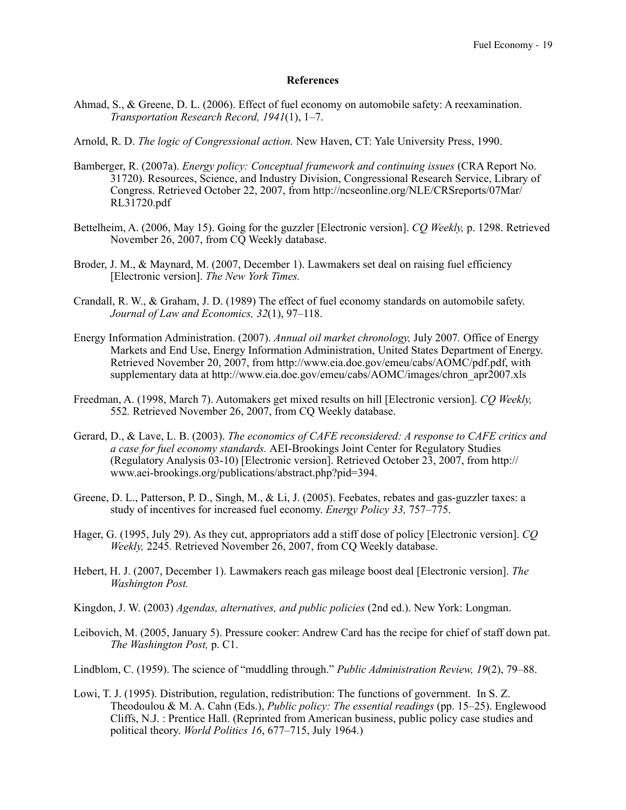#### **References**

- Ahmad, S., & Greene, D. L. (2006). Effect of fuel economy on automobile safety: A reexamination. *Transportation Research Record, 1941*(1), 1–7.
- Arnold, R. D. *The logic of Congressional action.* New Haven, CT: Yale University Press, 1990.
- Bamberger, R. (2007a). *Energy policy: Conceptual framework and continuing issues* (CRA Report No. 31720). Resources, Science, and Industry Division, Congressional Research Service, Library of Congress. Retrieved October 22, 2007, from [http://ncseonline.org/NLE/CRSreports/07Mar/](http://ncseonline.org/NLE/CRSreports/07Jun/RL33982.pdf) [RL31720.pdf](http://ncseonline.org/NLE/CRSreports/07Jun/RL33982.pdf)
- Bettelheim, A. (2006, May 15). Going for the guzzler [Electronic version]. *CQ Weekly,* p. 1298. Retrieved November 26, 2007, from CQ Weekly database.
- Broder, J. M., & Maynard, M. (2007, December 1). Lawmakers set deal on raising fuel efficiency [Electronic version]. *The New York Times.*
- Crandall, R. W., & Graham, J. D. (1989) The effect of fuel economy standards on automobile safety. *Journal of Law and Economics, 32*(1), 97–118.
- Energy Information Administration. (2007). *Annual oil market chronology,* July 2007*.* Office of Energy Markets and End Use, Energy Information Administration, United States Department of Energy. Retrieved November 20, 2007, from http://www.eia.doe.gov/emeu/cabs/AOMC/pdf.pdf, with supplementary data at http://www.eia.doe.gov/emeu/cabs/AOMC/images/chron\_apr2007.xls
- Freedman, A. (1998, March 7). Automakers get mixed results on hill [Electronic version]. *CQ Weekly,*  552*.* Retrieved November 26, 2007, from CQ Weekly database.
- Gerard, D., & Lave, L. B. (2003). *The economics of CAFE reconsidered: A response to CAFE critics and a case for fuel economy standards.* AEI-Brookings Joint Center for Regulatory Studies (Regulatory Analysis 03-10) [Electronic version]. Retrieved October 23, 2007, from http:// www.aei-brookings.org/publications/abstract.php?pid=394.
- Greene, D. L., Patterson, P. D., Singh, M., & Li, J. (2005). Feebates, rebates and gas-guzzler taxes: a study of incentives for increased fuel economy. *Energy Policy 33,* 757–775.
- Hager, G. (1995, July 29). As they cut, appropriators add a stiff dose of policy [Electronic version]. *CQ Weekly,* 2245*.* Retrieved November 26, 2007, from CQ Weekly database.
- Hebert, H. J. (2007, December 1). Lawmakers reach gas mileage boost deal [Electronic version]. *The Washington Post.*
- Kingdon, J. W. (2003) *Agendas, alternatives, and public policies* (2nd ed.). New York: Longman.
- Leibovich, M. (2005, January 5). Pressure cooker: Andrew Card has the recipe for chief of staff down pat. *The Washington Post,* p. C1.
- Lindblom, C. (1959). The science of "muddling through." *Public Administration Review, 19*(2), 79–88.
- Lowi, T. J. (1995). Distribution, regulation, redistribution: The functions of government. In S. Z. Theodoulou & M. A. Cahn (Eds.), *Public policy: The essential readings* (pp. 15–25). Englewood Cliffs, N.J. : Prentice Hall. (Reprinted from American business, public policy case studies and political theory. *World Politics 16*, 677–715, July 1964.)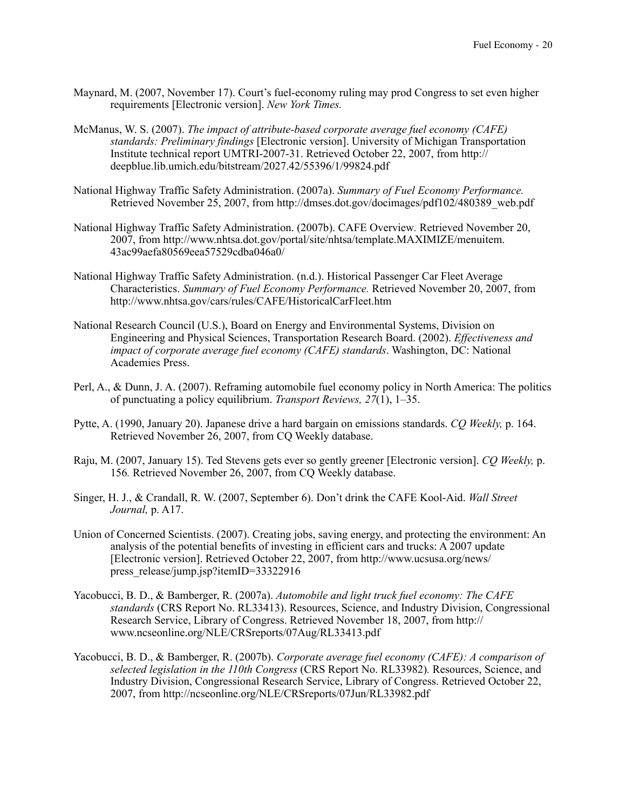- Maynard, M. (2007, November 17). Court's fuel-economy ruling may prod Congress to set even higher requirements [Electronic version]. *New York Times.*
- McManus, W. S. (2007). *The impact of attribute-based corporate average fuel economy (CAFE) standards: Preliminary findings* [Electronic version]. University of Michigan Transportation Institute technical report UMTRI-2007-31. Retrieved October 22, 2007, from [http://](http://deepblue.lib.umich.edu/bitstream/2027.42/55396/1/99824.pdf) [deepblue.lib.umich.edu/bitstream/2027.42/55396/1/99824.pdf](http://deepblue.lib.umich.edu/bitstream/2027.42/55396/1/99824.pdf)
- National Highway Traffic Safety Administration. (2007a). *Summary of Fuel Economy Performance.* Retrieved November 25, 2007, from http://dmses.dot.gov/docimages/pdf102/480389\_web.pdf
- National Highway Traffic Safety Administration. (2007b). CAFE Overview*.* Retrieved November 20, 2007, from http://www.nhtsa.dot.gov/portal/site/nhtsa/template.MAXIMIZE/menuitem. 43ac99aefa80569eea57529cdba046a0/
- National Highway Traffic Safety Administration. (n.d.). Historical Passenger Car Fleet Average Characteristics. *Summary of Fuel Economy Performance.* Retrieved November 20, 2007, from http://www.nhtsa.gov/cars/rules/CAFE/HistoricalCarFleet.htm
- National Research Council (U.S.), Board on Energy and Environmental Systems, Division on Engineering and Physical Sciences, Transportation Research Board. (2002). *Effectiveness and impact of corporate average fuel economy (CAFE) standards*. Washington, DC: National Academies Press.
- Perl, A., & Dunn, J. A. (2007). Reframing automobile fuel economy policy in North America: The politics of punctuating a policy equilibrium. *Transport Reviews, 27*(1), 1–35.
- Pytte, A. (1990, January 20). Japanese drive a hard bargain on emissions standards. *CQ Weekly,* p. 164. Retrieved November 26, 2007, from CQ Weekly database.
- Raju, M. (2007, January 15). Ted Stevens gets ever so gently greener [Electronic version]. *CQ Weekly,* p. 156*.* Retrieved November 26, 2007, from CQ Weekly database.
- Singer, H. J., & Crandall, R. W. (2007, September 6). Don't drink the CAFE Kool-Aid. *Wall Street Journal,* p. A17.
- Union of Concerned Scientists. (2007). Creating jobs, saving energy, and protecting the environment: An analysis of the potential benefits of investing in efficient cars and trucks: A 2007 update [Electronic version]. Retrieved October 22, 2007, from [http://www.ucsusa.org/news/](http://www.ucsusa.org/news/press_release/jump.jsp?itemID=33322916) [press\\_release/jump.jsp?itemID=33322916](http://www.ucsusa.org/news/press_release/jump.jsp?itemID=33322916)
- Yacobucci, B. D., & Bamberger, R. (2007a). *Automobile and light truck fuel economy: The CAFE standards* (CRS Report No. RL33413). Resources, Science, and Industry Division, Congressional Research Service, Library of Congress. Retrieved November 18, 2007, from http:// www.ncseonline.org/NLE/CRSreports/07Aug/RL33413.pdf
- Yacobucci, B. D., & Bamberger, R. (2007b). *Corporate average fuel economy (CAFE): A comparison of selected legislation in the 110th Congress* (CRS Report No. RL33982)*.* Resources, Science, and Industry Division, Congressional Research Service, Library of Congress. Retrieved October 22, 2007, from <http://ncseonline.org/NLE/CRSreports/07Jun/RL33982.pdf>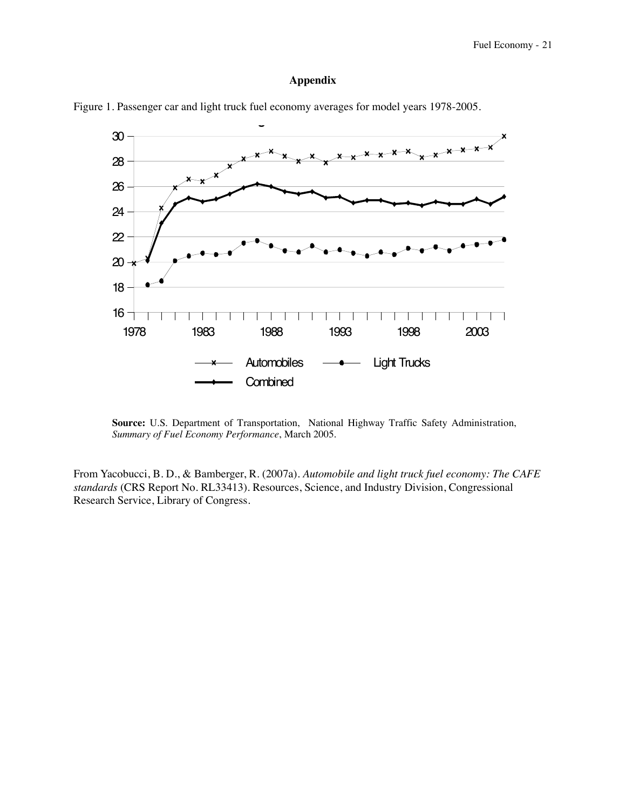# Appendix



Figure 1. Passenger car and light truck fuel economy averages for model years 1978-2005. **Figure 1. Passenger Car and Light Truck Fuel Economy**

**Source:** U.S. Department of Transportation, National Highway Traffic Safety Administration, *Summary of Fuel Economy Performance*, March 2005.

From Yacobucci, B. D., & Bamberger, R. (2007a). *Automobile and light truck fuel economy: The CAFE* standards (CRS Report No. RL33413). Resources, Science, and Industry Division, Congressional Research Service, Library of Congress.